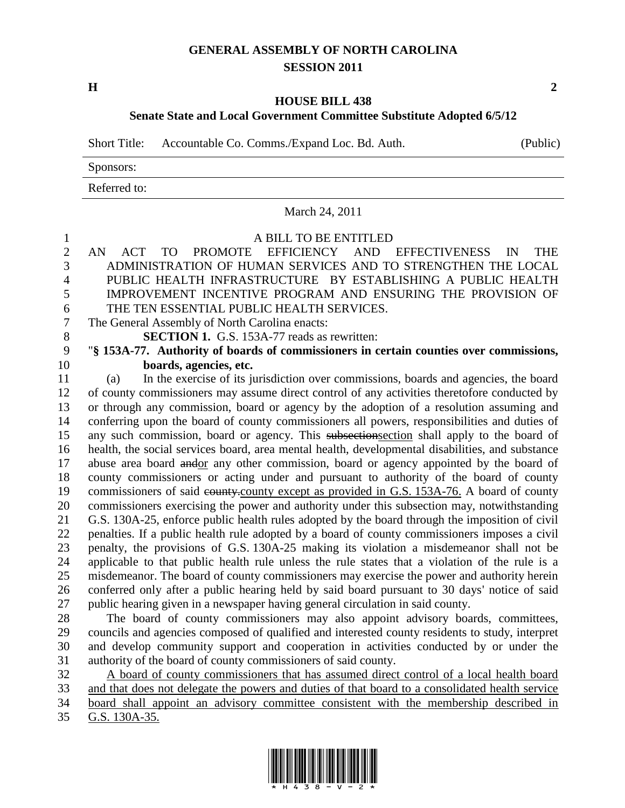## **GENERAL ASSEMBLY OF NORTH CAROLINA SESSION 2011**

**H 2**

## **HOUSE BILL 438 Senate State and Local Government Committee Substitute Adopted 6/5/12**

Short Title: Accountable Co. Comms./Expand Loc. Bd. Auth. (Public)

Sponsors:

Referred to:

## March 24, 2011 A BILL TO BE ENTITLED AN ACT TO PROMOTE EFFICIENCY AND EFFECTIVENESS IN THE ADMINISTRATION OF HUMAN SERVICES AND TO STRENGTHEN THE LOCAL PUBLIC HEALTH INFRASTRUCTURE BY ESTABLISHING A PUBLIC HEALTH IMPROVEMENT INCENTIVE PROGRAM AND ENSURING THE PROVISION OF THE TEN ESSENTIAL PUBLIC HEALTH SERVICES. The General Assembly of North Carolina enacts: **SECTION 1.** G.S. 153A-77 reads as rewritten: "**§ 153A-77. Authority of boards of commissioners in certain counties over commissions, boards, agencies, etc.** (a) In the exercise of its jurisdiction over commissions, boards and agencies, the board of county commissioners may assume direct control of any activities theretofore conducted by or through any commission, board or agency by the adoption of a resolution assuming and conferring upon the board of county commissioners all powers, responsibilities and duties of any such commission, board or agency. This subsectionsection shall apply to the board of health, the social services board, area mental health, developmental disabilities, and substance abuse area board andor any other commission, board or agency appointed by the board of county commissioners or acting under and pursuant to authority of the board of county 19 commissioners of said equally county except as provided in G.S. 153A-76. A board of county commissioners exercising the power and authority under this subsection may, notwithstanding G.S. 130A-25, enforce public health rules adopted by the board through the imposition of civil penalties. If a public health rule adopted by a board of county commissioners imposes a civil penalty, the provisions of G.S. 130A-25 making its violation a misdemeanor shall not be applicable to that public health rule unless the rule states that a violation of the rule is a misdemeanor. The board of county commissioners may exercise the power and authority herein conferred only after a public hearing held by said board pursuant to 30 days' notice of said public hearing given in a newspaper having general circulation in said county. The board of county commissioners may also appoint advisory boards, committees, councils and agencies composed of qualified and interested county residents to study, interpret and develop community support and cooperation in activities conducted by or under the authority of the board of county commissioners of said county. A board of county commissioners that has assumed direct control of a local health board and that does not delegate the powers and duties of that board to a consolidated health service board shall appoint an advisory committee consistent with the membership described in

G.S. 130A-35.

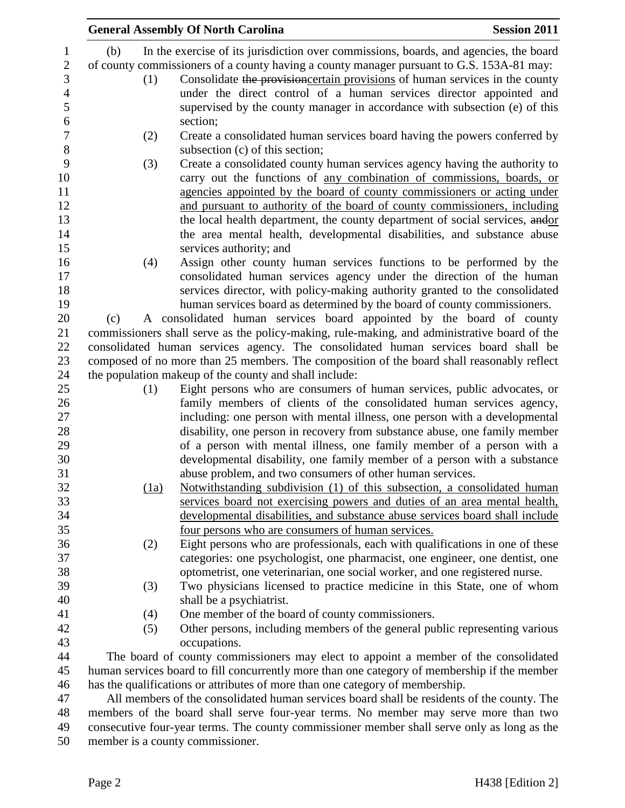|                                                                                              | <b>General Assembly Of North Carolina</b><br><b>Session 2011</b>                             |  |  |  |
|----------------------------------------------------------------------------------------------|----------------------------------------------------------------------------------------------|--|--|--|
| (b)                                                                                          | In the exercise of its jurisdiction over commissions, boards, and agencies, the board        |  |  |  |
|                                                                                              | of county commissioners of a county having a county manager pursuant to G.S. 153A-81 may:    |  |  |  |
|                                                                                              |                                                                                              |  |  |  |
| (1)                                                                                          | Consolidate the provision certain provisions of human services in the county                 |  |  |  |
|                                                                                              | under the direct control of a human services director appointed and                          |  |  |  |
|                                                                                              | supervised by the county manager in accordance with subsection (e) of this                   |  |  |  |
|                                                                                              | section;                                                                                     |  |  |  |
| (2)                                                                                          | Create a consolidated human services board having the powers conferred by                    |  |  |  |
|                                                                                              | subsection (c) of this section;                                                              |  |  |  |
| (3)                                                                                          | Create a consolidated county human services agency having the authority to                   |  |  |  |
|                                                                                              | carry out the functions of any combination of commissions, boards, or                        |  |  |  |
|                                                                                              | agencies appointed by the board of county commissioners or acting under                      |  |  |  |
|                                                                                              |                                                                                              |  |  |  |
|                                                                                              | and pursuant to authority of the board of county commissioners, including                    |  |  |  |
|                                                                                              | the local health department, the county department of social services, andor                 |  |  |  |
|                                                                                              | the area mental health, developmental disabilities, and substance abuse                      |  |  |  |
|                                                                                              | services authority; and                                                                      |  |  |  |
| (4)                                                                                          | Assign other county human services functions to be performed by the                          |  |  |  |
|                                                                                              | consolidated human services agency under the direction of the human                          |  |  |  |
|                                                                                              | services director, with policy-making authority granted to the consolidated                  |  |  |  |
|                                                                                              | human services board as determined by the board of county commissioners.                     |  |  |  |
| (c)                                                                                          | A consolidated human services board appointed by the board of county                         |  |  |  |
|                                                                                              | commissioners shall serve as the policy-making, rule-making, and administrative board of the |  |  |  |
|                                                                                              |                                                                                              |  |  |  |
|                                                                                              | consolidated human services agency. The consolidated human services board shall be           |  |  |  |
|                                                                                              | composed of no more than 25 members. The composition of the board shall reasonably reflect   |  |  |  |
|                                                                                              | the population makeup of the county and shall include:                                       |  |  |  |
| (1)                                                                                          | Eight persons who are consumers of human services, public advocates, or                      |  |  |  |
|                                                                                              | family members of clients of the consolidated human services agency,                         |  |  |  |
|                                                                                              | including: one person with mental illness, one person with a developmental                   |  |  |  |
|                                                                                              | disability, one person in recovery from substance abuse, one family member                   |  |  |  |
|                                                                                              | of a person with mental illness, one family member of a person with a                        |  |  |  |
|                                                                                              | developmental disability, one family member of a person with a substance                     |  |  |  |
|                                                                                              | abuse problem, and two consumers of other human services.                                    |  |  |  |
| (1a)                                                                                         | Notwithstanding subdivision (1) of this subsection, a consolidated human                     |  |  |  |
|                                                                                              | services board not exercising powers and duties of an area mental health,                    |  |  |  |
|                                                                                              |                                                                                              |  |  |  |
|                                                                                              | developmental disabilities, and substance abuse services board shall include                 |  |  |  |
|                                                                                              | four persons who are consumers of human services.                                            |  |  |  |
| (2)                                                                                          | Eight persons who are professionals, each with qualifications in one of these                |  |  |  |
|                                                                                              | categories: one psychologist, one pharmacist, one engineer, one dentist, one                 |  |  |  |
|                                                                                              | optometrist, one veterinarian, one social worker, and one registered nurse.                  |  |  |  |
| (3)                                                                                          | Two physicians licensed to practice medicine in this State, one of whom                      |  |  |  |
|                                                                                              | shall be a psychiatrist.                                                                     |  |  |  |
| (4)                                                                                          | One member of the board of county commissioners.                                             |  |  |  |
| (5)                                                                                          | Other persons, including members of the general public representing various                  |  |  |  |
|                                                                                              | occupations.                                                                                 |  |  |  |
|                                                                                              |                                                                                              |  |  |  |
| The board of county commissioners may elect to appoint a member of the consolidated          |                                                                                              |  |  |  |
| human services board to fill concurrently more than one category of membership if the member |                                                                                              |  |  |  |
| has the qualifications or attributes of more than one category of membership.                |                                                                                              |  |  |  |
| All members of the consolidated human services board shall be residents of the county. The   |                                                                                              |  |  |  |
| members of the board shall serve four-year terms. No member may serve more than two          |                                                                                              |  |  |  |
| consecutive four-year terms. The county commissioner member shall serve only as long as the  |                                                                                              |  |  |  |

member is a county commissioner.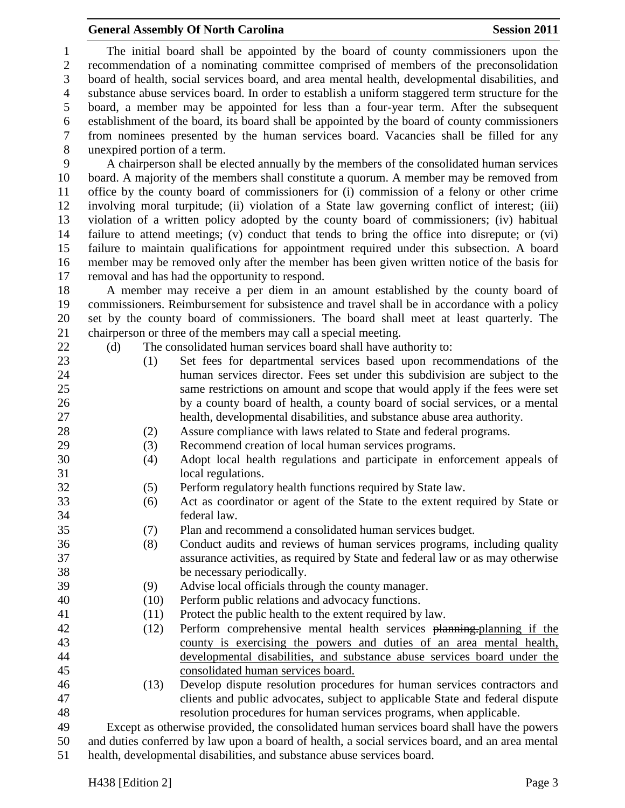## General Assembly Of North Carolina **Session 2011**

 The initial board shall be appointed by the board of county commissioners upon the recommendation of a nominating committee comprised of members of the preconsolidation board of health, social services board, and area mental health, developmental disabilities, and substance abuse services board. In order to establish a uniform staggered term structure for the board, a member may be appointed for less than a four-year term. After the subsequent establishment of the board, its board shall be appointed by the board of county commissioners from nominees presented by the human services board. Vacancies shall be filled for any unexpired portion of a term.

 A chairperson shall be elected annually by the members of the consolidated human services board. A majority of the members shall constitute a quorum. A member may be removed from office by the county board of commissioners for (i) commission of a felony or other crime involving moral turpitude; (ii) violation of a State law governing conflict of interest; (iii) violation of a written policy adopted by the county board of commissioners; (iv) habitual failure to attend meetings; (v) conduct that tends to bring the office into disrepute; or (vi) failure to maintain qualifications for appointment required under this subsection. A board member may be removed only after the member has been given written notice of the basis for removal and has had the opportunity to respond.

 A member may receive a per diem in an amount established by the county board of commissioners. Reimbursement for subsistence and travel shall be in accordance with a policy set by the county board of commissioners. The board shall meet at least quarterly. The chairperson or three of the members may call a special meeting.

22 (d) The consolidated human services board shall have authority to:

- (1) Set fees for departmental services based upon recommendations of the human services director. Fees set under this subdivision are subject to the same restrictions on amount and scope that would apply if the fees were set by a county board of health, a county board of social services, or a mental health, developmental disabilities, and substance abuse area authority.
- (2) Assure compliance with laws related to State and federal programs.
- (3) Recommend creation of local human services programs.
- (4) Adopt local health regulations and participate in enforcement appeals of local regulations.
- (5) Perform regulatory health functions required by State law.
- (6) Act as coordinator or agent of the State to the extent required by State or federal law.
- (7) Plan and recommend a consolidated human services budget.
- (8) Conduct audits and reviews of human services programs, including quality assurance activities, as required by State and federal law or as may otherwise be necessary periodically.
- (9) Advise local officials through the county manager.
- (10) Perform public relations and advocacy functions.
- (11) Protect the public health to the extent required by law.
- (12) Perform comprehensive mental health services planning.planning if the county is exercising the powers and duties of an area mental health, developmental disabilities, and substance abuse services board under the consolidated human services board.
- (13) Develop dispute resolution procedures for human services contractors and clients and public advocates, subject to applicable State and federal dispute resolution procedures for human services programs, when applicable.

 Except as otherwise provided, the consolidated human services board shall have the powers and duties conferred by law upon a board of health, a social services board, and an area mental health, developmental disabilities, and substance abuse services board.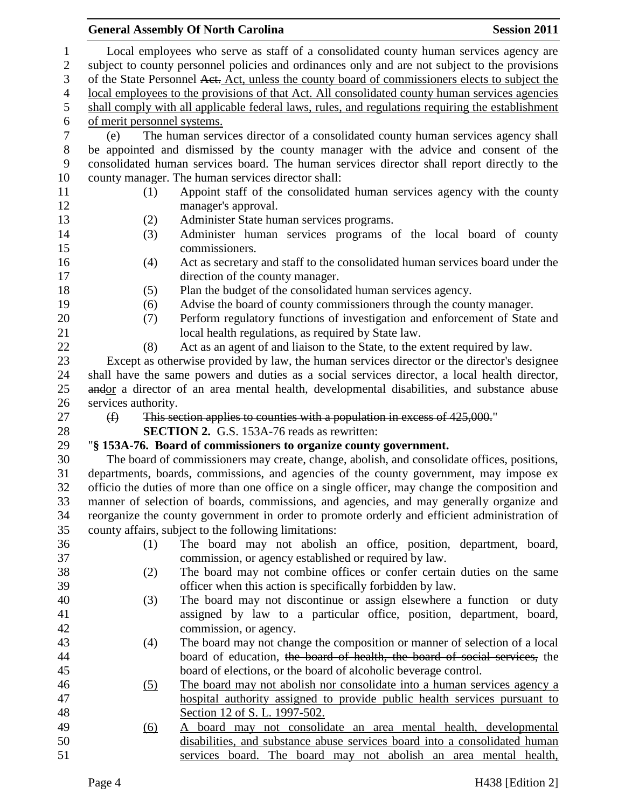|                |                                                                                                 | <b>General Assembly Of North Carolina</b>                                                         | <b>Session 2011</b> |  |  |  |  |
|----------------|-------------------------------------------------------------------------------------------------|---------------------------------------------------------------------------------------------------|---------------------|--|--|--|--|
| $\mathbf{1}$   |                                                                                                 | Local employees who serve as staff of a consolidated county human services agency are             |                     |  |  |  |  |
| $\overline{2}$ | subject to county personnel policies and ordinances only and are not subject to the provisions  |                                                                                                   |                     |  |  |  |  |
| 3              | of the State Personnel Aet. Act, unless the county board of commissioners elects to subject the |                                                                                                   |                     |  |  |  |  |
| $\overline{4}$ | local employees to the provisions of that Act. All consolidated county human services agencies  |                                                                                                   |                     |  |  |  |  |
| 5              |                                                                                                 | shall comply with all applicable federal laws, rules, and regulations requiring the establishment |                     |  |  |  |  |
| 6              | of merit personnel systems.                                                                     |                                                                                                   |                     |  |  |  |  |
| $\tau$         | (e)                                                                                             | The human services director of a consolidated county human services agency shall                  |                     |  |  |  |  |
| $8\phantom{1}$ |                                                                                                 | be appointed and dismissed by the county manager with the advice and consent of the               |                     |  |  |  |  |
| 9              |                                                                                                 | consolidated human services board. The human services director shall report directly to the       |                     |  |  |  |  |
| 10             |                                                                                                 | county manager. The human services director shall:                                                |                     |  |  |  |  |
| 11             | (1)                                                                                             | Appoint staff of the consolidated human services agency with the county                           |                     |  |  |  |  |
| 12             |                                                                                                 | manager's approval.                                                                               |                     |  |  |  |  |
| 13             | (2)                                                                                             | Administer State human services programs.                                                         |                     |  |  |  |  |
| 14             | (3)                                                                                             | Administer human services programs of the local board of county                                   |                     |  |  |  |  |
| 15             |                                                                                                 | commissioners.                                                                                    |                     |  |  |  |  |
| 16             | (4)                                                                                             | Act as secretary and staff to the consolidated human services board under the                     |                     |  |  |  |  |
| 17             |                                                                                                 | direction of the county manager.                                                                  |                     |  |  |  |  |
| 18             | (5)                                                                                             | Plan the budget of the consolidated human services agency.                                        |                     |  |  |  |  |
| 19             | (6)                                                                                             | Advise the board of county commissioners through the county manager.                              |                     |  |  |  |  |
| 20             | (7)                                                                                             | Perform regulatory functions of investigation and enforcement of State and                        |                     |  |  |  |  |
| 21             |                                                                                                 | local health regulations, as required by State law.                                               |                     |  |  |  |  |
| 22             | (8)                                                                                             | Act as an agent of and liaison to the State, to the extent required by law.                       |                     |  |  |  |  |
| 23             |                                                                                                 | Except as otherwise provided by law, the human services director or the director's designee       |                     |  |  |  |  |
| 24             |                                                                                                 | shall have the same powers and duties as a social services director, a local health director,     |                     |  |  |  |  |
| 25             |                                                                                                 | andor a director of an area mental health, developmental disabilities, and substance abuse        |                     |  |  |  |  |
| 26             | services authority.                                                                             |                                                                                                   |                     |  |  |  |  |
| 27             | $\bigoplus$                                                                                     | This section applies to counties with a population in excess of 425,000."                         |                     |  |  |  |  |
| 28             |                                                                                                 | <b>SECTION 2.</b> G.S. 153A-76 reads as rewritten:                                                |                     |  |  |  |  |
| 29             |                                                                                                 | "§ 153A-76. Board of commissioners to organize county government.                                 |                     |  |  |  |  |
| 30             |                                                                                                 | The board of commissioners may create, change, abolish, and consolidate offices, positions,       |                     |  |  |  |  |
| 31             |                                                                                                 | departments, boards, commissions, and agencies of the county government, may impose ex            |                     |  |  |  |  |
| 32             |                                                                                                 | officio the duties of more than one office on a single officer, may change the composition and    |                     |  |  |  |  |
| 33             |                                                                                                 | manner of selection of boards, commissions, and agencies, and may generally organize and          |                     |  |  |  |  |
| 34             |                                                                                                 | reorganize the county government in order to promote orderly and efficient administration of      |                     |  |  |  |  |
| 35             |                                                                                                 | county affairs, subject to the following limitations:                                             |                     |  |  |  |  |
| 36             | (1)                                                                                             | The board may not abolish an office, position, department, board,                                 |                     |  |  |  |  |
| 37             |                                                                                                 | commission, or agency established or required by law.                                             |                     |  |  |  |  |
| 38             | (2)                                                                                             | The board may not combine offices or confer certain duties on the same                            |                     |  |  |  |  |
| 39             |                                                                                                 | officer when this action is specifically forbidden by law.                                        |                     |  |  |  |  |
| 40             | (3)                                                                                             | The board may not discontinue or assign elsewhere a function or duty                              |                     |  |  |  |  |
| 41             |                                                                                                 | assigned by law to a particular office, position, department, board,                              |                     |  |  |  |  |
| 42             |                                                                                                 | commission, or agency.                                                                            |                     |  |  |  |  |
| 43             | (4)                                                                                             | The board may not change the composition or manner of selection of a local                        |                     |  |  |  |  |
| 44             |                                                                                                 | board of education, the board of health, the board of social services, the                        |                     |  |  |  |  |
| 45             |                                                                                                 | board of elections, or the board of alcoholic beverage control.                                   |                     |  |  |  |  |
| 46             | <u>(5)</u>                                                                                      | The board may not abolish nor consolidate into a human services agency a                          |                     |  |  |  |  |
| 47             |                                                                                                 | hospital authority assigned to provide public health services pursuant to                         |                     |  |  |  |  |
| 48             |                                                                                                 | Section 12 of S. L. 1997-502.                                                                     |                     |  |  |  |  |
| 49             | (6)                                                                                             | board may not consolidate an area mental health, developmental                                    |                     |  |  |  |  |
| 50             |                                                                                                 | disabilities, and substance abuse services board into a consolidated human                        |                     |  |  |  |  |
| 51             |                                                                                                 | services board. The board may not abolish an area mental health,                                  |                     |  |  |  |  |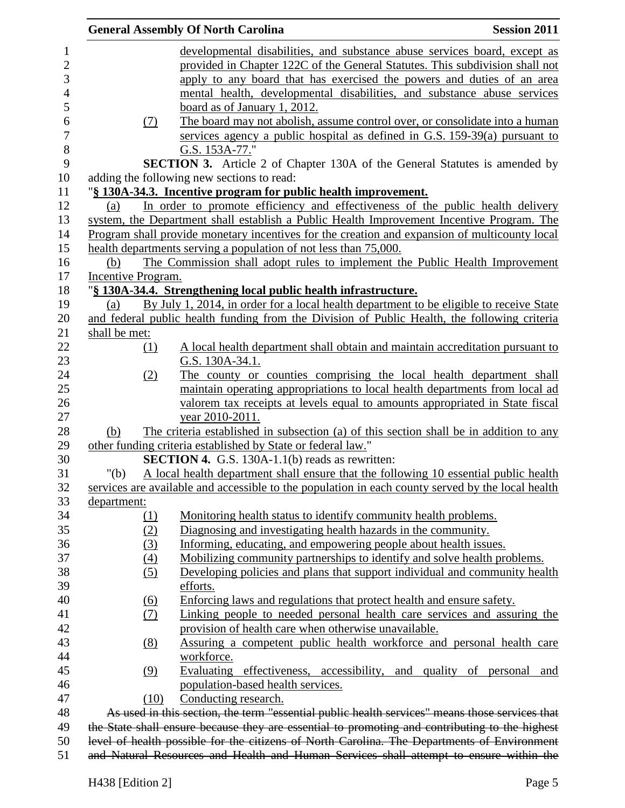| <b>General Assembly Of North Carolina</b> | <b>Session 2011</b>                                                                         |                                                                                                   |                 |  |
|-------------------------------------------|---------------------------------------------------------------------------------------------|---------------------------------------------------------------------------------------------------|-----------------|--|
|                                           |                                                                                             | developmental disabilities, and substance abuse services board, except as                         |                 |  |
|                                           |                                                                                             | provided in Chapter 122C of the General Statutes. This subdivision shall not                      |                 |  |
|                                           |                                                                                             | apply to any board that has exercised the powers and duties of an area                            |                 |  |
|                                           |                                                                                             | mental health, developmental disabilities, and substance abuse services                           |                 |  |
|                                           |                                                                                             | board as of January 1, 2012.                                                                      |                 |  |
|                                           | (7)                                                                                         | The board may not abolish, assume control over, or consolidate into a human                       |                 |  |
|                                           |                                                                                             | services agency a public hospital as defined in G.S. $159-39(a)$ pursuant to                      |                 |  |
|                                           |                                                                                             | G.S. 153A-77."                                                                                    |                 |  |
|                                           |                                                                                             | <b>SECTION 3.</b> Article 2 of Chapter 130A of the General Statutes is amended by                 |                 |  |
|                                           |                                                                                             | adding the following new sections to read:                                                        |                 |  |
|                                           |                                                                                             | § 130A-34.3. Incentive program for public health improvement.                                     |                 |  |
| (a)                                       |                                                                                             | In order to promote efficiency and effectiveness of the public health delivery                    |                 |  |
|                                           |                                                                                             | system, the Department shall establish a Public Health Improvement Incentive Program. The         |                 |  |
|                                           |                                                                                             | Program shall provide monetary incentives for the creation and expansion of multicounty local     |                 |  |
|                                           |                                                                                             | health departments serving a population of not less than 75,000.                                  |                 |  |
| (b)                                       |                                                                                             | The Commission shall adopt rules to implement the Public Health Improvement                       |                 |  |
| <b>Incentive Program.</b>                 |                                                                                             |                                                                                                   |                 |  |
|                                           |                                                                                             | "§ 130A-34.4. Strengthening local public health infrastructure.                                   |                 |  |
| (a)                                       |                                                                                             | By July 1, 2014, in order for a local health department to be eligible to receive State           |                 |  |
|                                           |                                                                                             | and federal public health funding from the Division of Public Health, the following criteria      |                 |  |
| shall be met:                             |                                                                                             |                                                                                                   |                 |  |
|                                           | (1)                                                                                         | A local health department shall obtain and maintain accreditation pursuant to                     |                 |  |
|                                           |                                                                                             | G.S. 130A-34.1.                                                                                   |                 |  |
|                                           | (2)                                                                                         | The county or counties comprising the local health department shall                               |                 |  |
|                                           |                                                                                             | maintain operating appropriations to local health departments from local ad                       |                 |  |
|                                           |                                                                                             | valorem tax receipts at levels equal to amounts appropriated in State fiscal                      |                 |  |
|                                           |                                                                                             | year 2010-2011.                                                                                   |                 |  |
| (b)                                       |                                                                                             | The criteria established in subsection (a) of this section shall be in addition to any            |                 |  |
|                                           |                                                                                             | other funding criteria established by State or federal law."                                      |                 |  |
|                                           |                                                                                             | <b>SECTION 4.</b> G.S. 130A-1.1(b) reads as rewritten:                                            |                 |  |
| " $(b)$                                   |                                                                                             | A local health department shall ensure that the following 10 essential public health              |                 |  |
|                                           |                                                                                             | services are available and accessible to the population in each county served by the local health |                 |  |
| department:                               |                                                                                             |                                                                                                   |                 |  |
|                                           | (1)                                                                                         | Monitoring health status to identify community health problems.                                   |                 |  |
|                                           | (2)                                                                                         | Diagnosing and investigating health hazards in the community.                                     |                 |  |
|                                           | (3)                                                                                         | Informing, educating, and empowering people about health issues.                                  |                 |  |
|                                           | (4)                                                                                         | Mobilizing community partnerships to identify and solve health problems.                          |                 |  |
|                                           | (5)                                                                                         | Developing policies and plans that support individual and community health                        |                 |  |
|                                           |                                                                                             | efforts.                                                                                          |                 |  |
|                                           |                                                                                             | Enforcing laws and regulations that protect health and ensure safety.                             |                 |  |
|                                           | <u>(6)</u><br>(7)                                                                           | Linking people to needed personal health care services and assuring the                           |                 |  |
|                                           |                                                                                             | provision of health care when otherwise unavailable.                                              |                 |  |
|                                           |                                                                                             |                                                                                                   |                 |  |
|                                           | (8)                                                                                         | Assuring a competent public health workforce and personal health care<br>workforce.               |                 |  |
|                                           |                                                                                             |                                                                                                   |                 |  |
|                                           | (9)                                                                                         | Evaluating effectiveness, accessibility, and quality of                                           | personal<br>and |  |
|                                           |                                                                                             | population-based health services.                                                                 |                 |  |
|                                           | (10)                                                                                        | Conducting research.                                                                              |                 |  |
|                                           |                                                                                             | As used in this section, the term "essential public health services" means those services that    |                 |  |
|                                           |                                                                                             | the State shall ensure because they are essential to promoting and contributing to the highest    |                 |  |
|                                           | level of health possible for the citizens of North Carolina. The Departments of Environment |                                                                                                   |                 |  |
|                                           | and Natural Resources and Health and Human Services shall attempt to ensure within the      |                                                                                                   |                 |  |